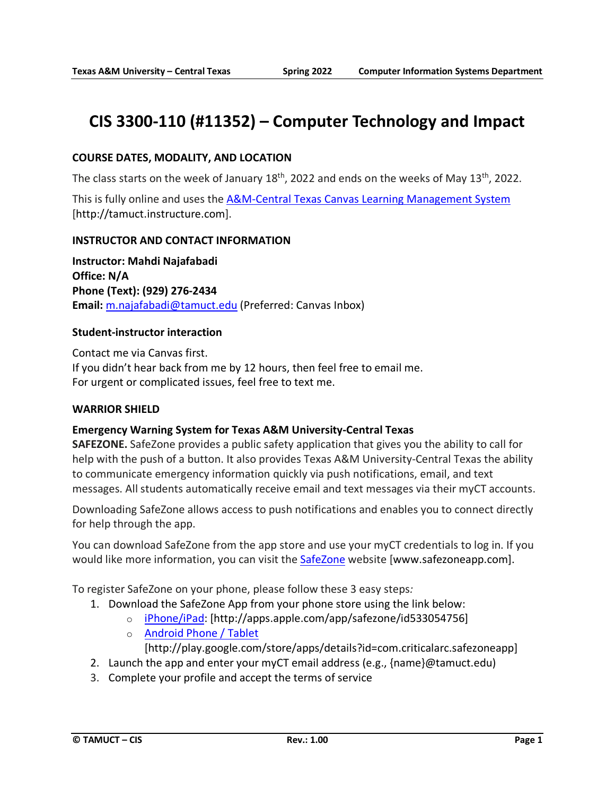# **CIS 3300-110 (#11352) – Computer Technology and Impact**

# **COURSE DATES, MODALITY, AND LOCATION**

The class starts on the week of January 18<sup>th</sup>, 2022 and ends on the weeks of May 13<sup>th</sup>, 2022.

This is fully online and uses the [A&M-Central Texas Canvas Learning Management System](http://tamuct.instructure.com/) [http://tamuct.instructure.com].

### **INSTRUCTOR AND CONTACT INFORMATION**

**Instructor: Mahdi Najafabadi Office: N/A Phone (Text): (929) 276-2434 Email:** [m.najafabadi@tamuct.edu](mailto:m.najafabadi@tamuct.edu) (Preferred: Canvas Inbox)

### **Student-instructor interaction**

Contact me via Canvas first. If you didn't hear back from me by 12 hours, then feel free to email me. For urgent or complicated issues, feel free to text me.

### **WARRIOR SHIELD**

# **Emergency Warning System for Texas A&M University-Central Texas**

**SAFEZONE.** SafeZone provides a public safety application that gives you the ability to call for help with the push of a button. It also provides Texas A&M University-Central Texas the ability to communicate emergency information quickly via push notifications, email, and text messages. All students automatically receive email and text messages via their myCT accounts.

Downloading SafeZone allows access to push notifications and enables you to connect directly for help through the app.

You can download SafeZone from the app store and use your myCT credentials to log in. If you would like more information, you can visit the [SafeZone](http://www.safezoneapp.com/) website [www.safezoneapp.com].

To register SafeZone on your phone, please follow these 3 easy steps*:*

- 1. Download the SafeZone App from your phone store using the link below:
	- o [iPhone/iPad:](https://apps.apple.com/app/safezone/id533054756) [http://apps.apple.com/app/safezone/id533054756]
		- o [Android Phone / Tablet](https://play.google.com/store/apps/details?id=com.criticalarc.safezoneapp)

[http://play.google.com/store/apps/details?id=com.criticalarc.safezoneapp]

- 2. Launch the app and enter your myCT email address (e.g., {name}@tamuct.edu)
- 3. Complete your profile and accept the terms of service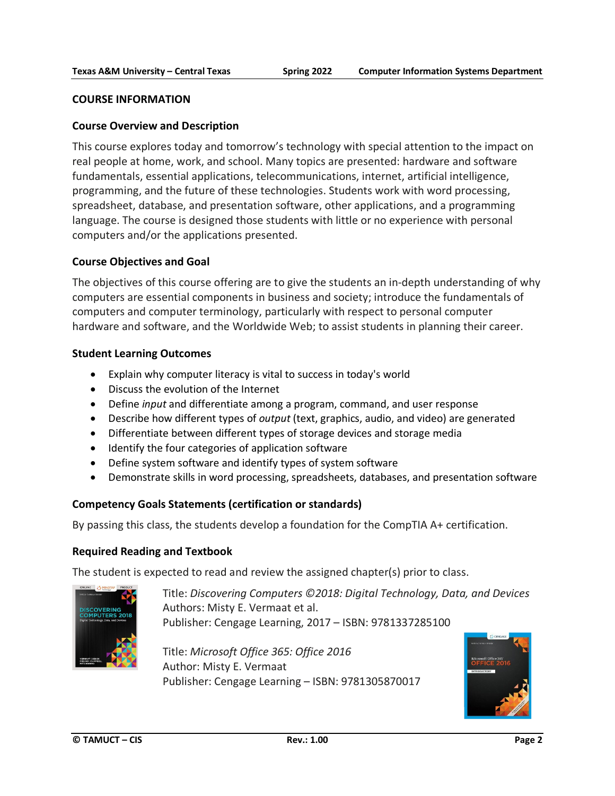### **COURSE INFORMATION**

### **Course Overview and Description**

This course explores today and tomorrow's technology with special attention to the impact on real people at home, work, and school. Many topics are presented: hardware and software fundamentals, essential applications, telecommunications, internet, artificial intelligence, programming, and the future of these technologies. Students work with word processing, spreadsheet, database, and presentation software, other applications, and a programming language. The course is designed those students with little or no experience with personal computers and/or the applications presented.

### **Course Objectives and Goal**

The objectives of this course offering are to give the students an in-depth understanding of why computers are essential components in business and society; introduce the fundamentals of computers and computer terminology, particularly with respect to personal computer hardware and software, and the Worldwide Web; to assist students in planning their career.

### **Student Learning Outcomes**

- Explain why computer literacy is vital to success in today's world
- Discuss the evolution of the Internet
- Define *input* and differentiate among a program, command, and user response
- Describe how different types of *output* (text, graphics, audio, and video) are generated
- Differentiate between different types of storage devices and storage media
- Identify the four categories of application software
- Define system software and identify types of system software
- Demonstrate skills in word processing, spreadsheets, databases, and presentation software

### **Competency Goals Statements (certification or standards)**

By passing this class, the students develop a foundation for the CompTIA A+ certification.

### **Required Reading and Textbook**

The student is expected to read and review the assigned chapter(s) prior to class.



Title: *Discovering Computers ©2018: Digital Technology, Data, and Devices* Authors: Misty E. Vermaat et al. Publisher: Cengage Learning, 2017 – ISBN: 9781337285100

Title: *Microsoft Office 365: Office 2016* Author: Misty E. Vermaat Publisher: Cengage Learning – ISBN: 9781305870017

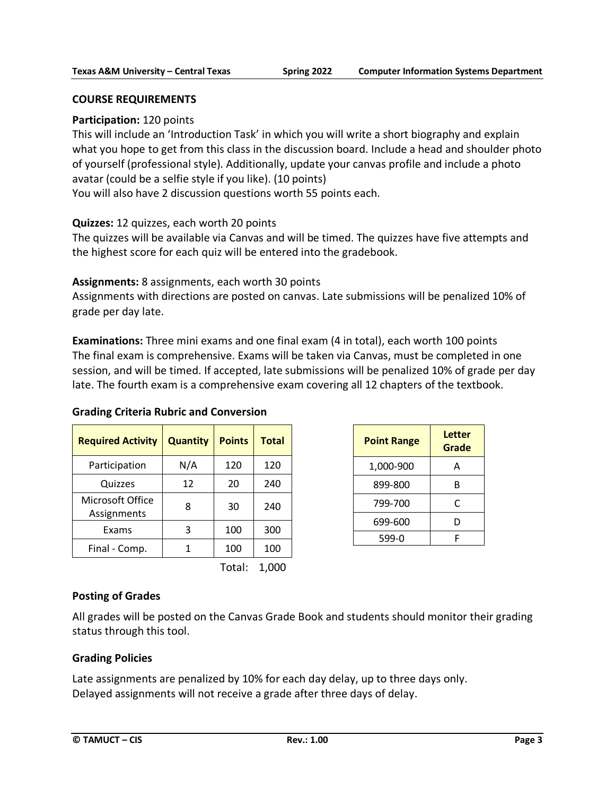### **COURSE REQUIREMENTS**

# **Participation:** 120 points

This will include an 'Introduction Task' in which you will write a short biography and explain what you hope to get from this class in the discussion board. Include a head and shoulder photo of yourself (professional style). Additionally, update your canvas profile and include a photo avatar (could be a selfie style if you like). (10 points)

You will also have 2 discussion questions worth 55 points each.

# **Quizzes:** 12 quizzes, each worth 20 points

The quizzes will be available via Canvas and will be timed. The quizzes have five attempts and the highest score for each quiz will be entered into the gradebook.

# **Assignments:** 8 assignments, each worth 30 points

Assignments with directions are posted on canvas. Late submissions will be penalized 10% of grade per day late.

**Examinations:** Three mini exams and one final exam (4 in total), each worth 100 points The final exam is comprehensive. Exams will be taken via Canvas, must be completed in one session, and will be timed. If accepted, late submissions will be penalized 10% of grade per day late. The fourth exam is a comprehensive exam covering all 12 chapters of the textbook.

### **Grading Criteria Rubric and Conversion**

| <b>Required Activity</b>        | <b>Quantity</b> | <b>Points</b> | <b>Total</b> |
|---------------------------------|-----------------|---------------|--------------|
| Participation                   | N/A             | 120           | 120          |
| Quizzes                         | 12              | 20            | 240          |
| Microsoft Office<br>Assignments | 8               | 30            | 240          |
| Exams                           | 3               | 100           | 300          |
| Final - Comp.                   |                 | 100           | 100          |

Total: 1,000

| <b>Point Range</b> | Letter<br>Grade |  |
|--------------------|-----------------|--|
| 1,000-900          | А               |  |
| 899-800            | R               |  |
| 799-700            | C               |  |
| 699-600            | D               |  |
| 599-0              |                 |  |

# **Posting of Grades**

All grades will be posted on the Canvas Grade Book and students should monitor their grading status through this tool.

# **Grading Policies**

Late assignments are penalized by 10% for each day delay, up to three days only. Delayed assignments will not receive a grade after three days of delay.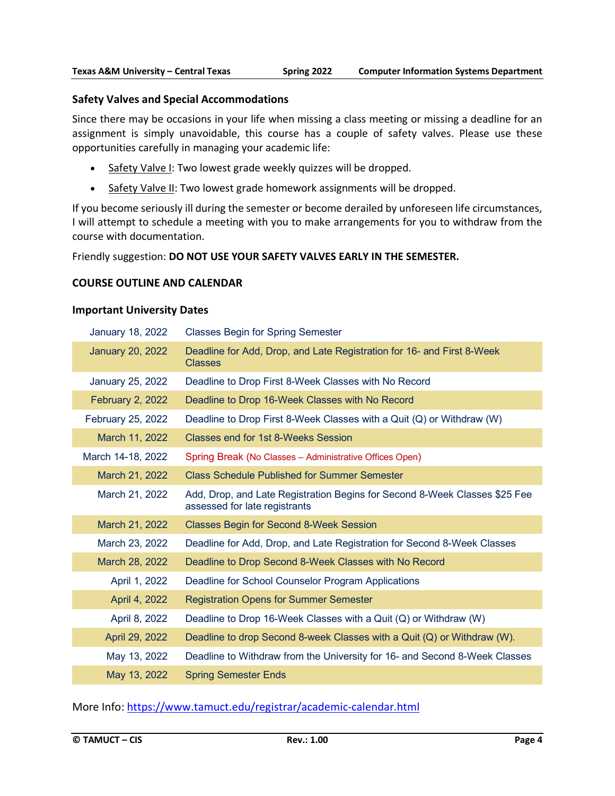### **Safety Valves and Special Accommodations**

Since there may be occasions in your life when missing a class meeting or missing a deadline for an assignment is simply unavoidable, this course has a couple of safety valves. Please use these opportunities carefully in managing your academic life:

- Safety Valve I: Two lowest grade weekly quizzes will be dropped.
- Safety Valve II: Two lowest grade homework assignments will be dropped.

If you become seriously ill during the semester or become derailed by unforeseen life circumstances, I will attempt to schedule a meeting with you to make arrangements for you to withdraw from the course with documentation.

Friendly suggestion: **DO NOT USE YOUR SAFETY VALVES EARLY IN THE SEMESTER.**

### **COURSE OUTLINE AND CALENDAR**

#### **Important University Dates**

| <b>January 18, 2022</b> | <b>Classes Begin for Spring Semester</b>                                                                    |
|-------------------------|-------------------------------------------------------------------------------------------------------------|
| <b>January 20, 2022</b> | Deadline for Add, Drop, and Late Registration for 16- and First 8-Week<br><b>Classes</b>                    |
| January 25, 2022        | Deadline to Drop First 8-Week Classes with No Record                                                        |
| <b>February 2, 2022</b> | Deadline to Drop 16-Week Classes with No Record                                                             |
| February 25, 2022       | Deadline to Drop First 8-Week Classes with a Quit (Q) or Withdraw (W)                                       |
| March 11, 2022          | Classes end for 1st 8-Weeks Session                                                                         |
| March 14-18, 2022       | Spring Break (No Classes - Administrative Offices Open)                                                     |
| March 21, 2022          | <b>Class Schedule Published for Summer Semester</b>                                                         |
| March 21, 2022          | Add, Drop, and Late Registration Begins for Second 8-Week Classes \$25 Fee<br>assessed for late registrants |
| March 21, 2022          | <b>Classes Begin for Second 8-Week Session</b>                                                              |
| March 23, 2022          | Deadline for Add, Drop, and Late Registration for Second 8-Week Classes                                     |
| March 28, 2022          | Deadline to Drop Second 8-Week Classes with No Record                                                       |
| April 1, 2022           | Deadline for School Counselor Program Applications                                                          |
| April 4, 2022           | <b>Registration Opens for Summer Semester</b>                                                               |
| April 8, 2022           | Deadline to Drop 16-Week Classes with a Quit (Q) or Withdraw (W)                                            |
| April 29, 2022          | Deadline to drop Second 8-week Classes with a Quit (Q) or Withdraw (W).                                     |
| May 13, 2022            | Deadline to Withdraw from the University for 16- and Second 8-Week Classes                                  |
| May 13, 2022            | <b>Spring Semester Ends</b>                                                                                 |

More Info: <https://www.tamuct.edu/registrar/academic-calendar.html>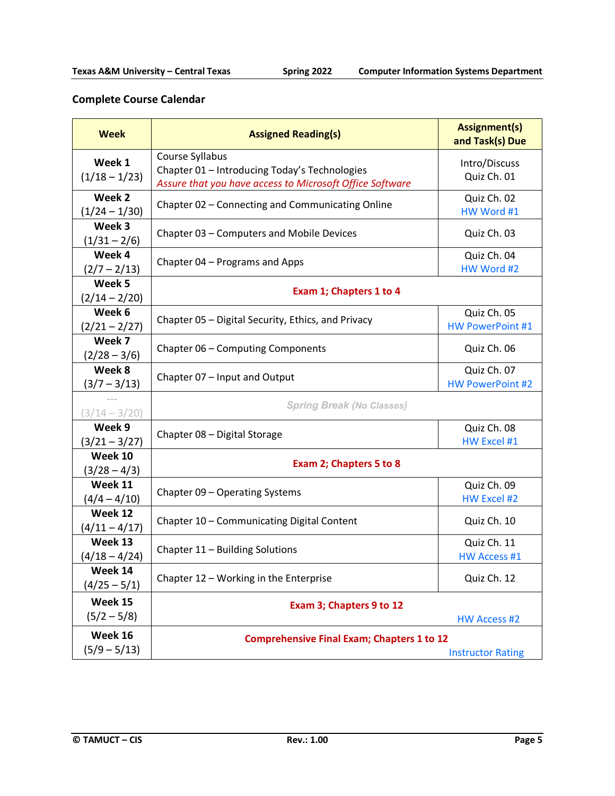# **Complete Course Calendar**

| <b>Week</b>                | <b>Assigned Reading(s)</b>                                                                                                   | <b>Assignment(s)</b><br>and Task(s) Due |  |
|----------------------------|------------------------------------------------------------------------------------------------------------------------------|-----------------------------------------|--|
| Week 1<br>$(1/18 - 1/23)$  | Course Syllabus<br>Chapter 01 - Introducing Today's Technologies<br>Assure that you have access to Microsoft Office Software | Intro/Discuss<br>Quiz Ch. 01            |  |
| Week 2<br>$(1/24 - 1/30)$  | Chapter 02 - Connecting and Communicating Online                                                                             | Quiz Ch. 02<br>HW Word #1               |  |
| Week 3<br>$(1/31 - 2/6)$   | Chapter 03 - Computers and Mobile Devices                                                                                    | Quiz Ch. 03                             |  |
| Week 4<br>$(2/7 - 2/13)$   | Chapter 04 - Programs and Apps                                                                                               | Quiz Ch. 04<br>HW Word #2               |  |
| Week 5<br>$(2/14 - 2/20)$  | Exam 1; Chapters 1 to 4                                                                                                      |                                         |  |
| Week 6<br>$(2/21 - 2/27)$  | Chapter 05 - Digital Security, Ethics, and Privacy                                                                           | Quiz Ch. 05<br><b>HW PowerPoint #1</b>  |  |
| Week 7<br>$(2/28 - 3/6)$   | Chapter 06 - Computing Components                                                                                            | Quiz Ch. 06                             |  |
| Week 8<br>$(3/7 - 3/13)$   | Chapter 07 - Input and Output                                                                                                | Quiz Ch. 07<br><b>HW PowerPoint #2</b>  |  |
| $(3/14 - 3/20)$            | <b>Spring Break (No Classes)</b>                                                                                             |                                         |  |
| Week 9<br>$(3/21 - 3/27)$  | Chapter 08 - Digital Storage                                                                                                 | Quiz Ch. 08<br>HW Excel #1              |  |
| Week 10<br>$(3/28 - 4/3)$  | Exam 2; Chapters 5 to 8                                                                                                      |                                         |  |
| Week 11<br>$(4/4 - 4/10)$  | Chapter 09 - Operating Systems                                                                                               | Quiz Ch. 09<br><b>HW Excel #2</b>       |  |
| Week 12<br>$(4/11 - 4/17)$ | Chapter 10 - Communicating Digital Content                                                                                   | Quiz Ch. 10                             |  |
| Week 13<br>$(4/18 - 4/24)$ | Chapter 11 - Building Solutions                                                                                              | Quiz Ch. 11<br><b>HW Access #1</b>      |  |
| Week 14<br>$(4/25 - 5/1)$  | Chapter 12 - Working in the Enterprise                                                                                       | Quiz Ch. 12                             |  |
| Week 15<br>$(5/2 - 5/8)$   | Exam 3; Chapters 9 to 12<br><b>HW Access #2</b>                                                                              |                                         |  |
| Week 16<br>$(5/9 - 5/13)$  | <b>Comprehensive Final Exam; Chapters 1 to 12</b><br><b>Instructor Rating</b>                                                |                                         |  |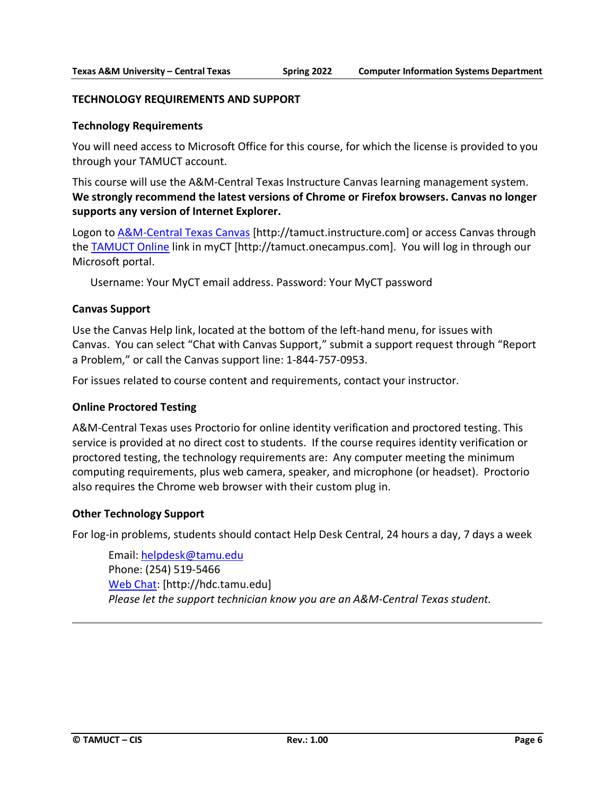### **TECHNOLOGY REQUIREMENTS AND SUPPORT**

### **Technology Requirements**

You will need access to Microsoft Office for this course, for which the license is provided to you through your TAMUCT account.

This course will use the A&M-Central Texas Instructure Canvas learning management system. **We strongly recommend the latest versions of Chrome or Firefox browsers. Canvas no longer supports any version of Internet Explorer.**

Logon to [A&M-Central Texas Canvas](https://tamuct.instructure.com/) [http://tamuct.instructure.com] or access Canvas through the [TAMUCT Online](http://tamuct.onecampus.com/) link in myCT [http://tamuct.onecampus.com]. You will log in through our Microsoft portal.

Username: Your MyCT email address. Password: Your MyCT password

### **Canvas Support**

Use the Canvas Help link, located at the bottom of the left-hand menu, for issues with Canvas. You can select "Chat with Canvas Support," submit a support request through "Report a Problem," or call the Canvas support line: 1-844-757-0953.

For issues related to course content and requirements, contact your instructor.

### **Online Proctored Testing**

A&M-Central Texas uses Proctorio for online identity verification and proctored testing. This service is provided at no direct cost to students. If the course requires identity verification or proctored testing, the technology requirements are: Any computer meeting the minimum computing requirements, plus web camera, speaker, and microphone (or headset). Proctorio also requires the Chrome web browser with their custom plug in.

### **Other Technology Support**

For log-in problems, students should contact Help Desk Central, 24 hours a day, 7 days a week

Email[: helpdesk@tamu.edu](mailto:helpdesk@tamu.edu) Phone: (254) 519-5466 [Web Chat:](http://hdc.tamu.edu/) [http://hdc.tamu.edu] *Please let the support technician know you are an A&M-Central Texas student.*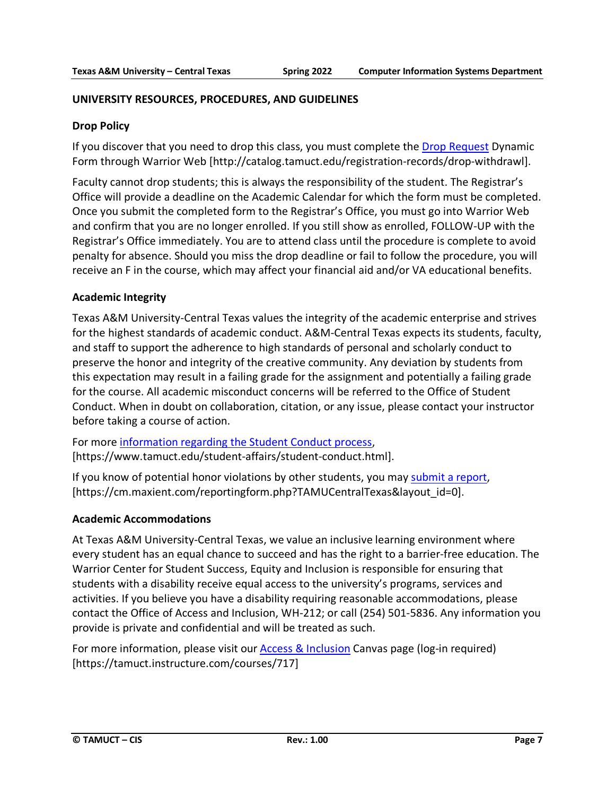### **UNIVERSITY RESOURCES, PROCEDURES, AND GUIDELINES**

### **Drop Policy**

If you discover that you need to drop this class, you must complete the [Drop Request](http://catalog.tamuct.edu/registration-records/drop-withdrawl) Dynamic Form through Warrior Web [\[http://catalog.tamuct.edu/registration-records/drop-withdrawl\]](http://catalog.tamuct.edu/registration-records/drop-withdrawl).

Faculty cannot drop students; this is always the responsibility of the student. The Registrar's Office will provide a deadline on the Academic Calendar for which the form must be completed. Once you submit the completed form to the Registrar's Office, you must go into Warrior Web and confirm that you are no longer enrolled. If you still show as enrolled, FOLLOW-UP with the Registrar's Office immediately. You are to attend class until the procedure is complete to avoid penalty for absence. Should you miss the drop deadline or fail to follow the procedure, you will receive an F in the course, which may affect your financial aid and/or VA educational benefits.

### **Academic Integrity**

Texas A&M University-Central Texas values the integrity of the academic enterprise and strives for the highest standards of academic conduct. A&M-Central Texas expects its students, faculty, and staff to support the adherence to high standards of personal and scholarly conduct to preserve the honor and integrity of the creative community. Any deviation by students from this expectation may result in a failing grade for the assignment and potentially a failing grade for the course. All academic misconduct concerns will be referred to the Office of Student Conduct. When in doubt on collaboration, citation, or any issue, please contact your instructor before taking a course of action.

For more [information](https://nam04.safelinks.protection.outlook.com/?url=https%3A%2F%2Fwww.tamuct.edu%2Fstudent-affairs%2Fstudent-conduct.html&data=04%7C01%7Clisa.bunkowski%40tamuct.edu%7Ccfb6e486f24745f53e1a08d910055cb2%7C9eed4e3000f744849ff193ad8005acec%7C0%7C0%7C637558437485252160%7CUnknown%7CTWFpbGZsb3d8eyJWIjoiMC4wLjAwMDAiLCJQIjoiV2luMzIiLCJBTiI6Ik1haWwiLCJXVCI6Mn0%3D%7C1000&sdata=yjftDEVHvLX%2FhM%2FcFU0B99krV1RgEWR%2BJ%2BhvtoR6TYk%3D&reserved=0) regarding the Student Conduct process, [https://www.tamuct.edu/student-affairs/student-conduct.html].

If you know of potential honor violations by other students, you may [submit](https://nam04.safelinks.protection.outlook.com/?url=https%3A%2F%2Fcm.maxient.com%2Freportingform.php%3FTAMUCentralTexas%26layout_id%3D0&data=04%7C01%7Clisa.bunkowski%40tamuct.edu%7Ccfb6e486f24745f53e1a08d910055cb2%7C9eed4e3000f744849ff193ad8005acec%7C0%7C0%7C637558437485262157%7CUnknown%7CTWFpbGZsb3d8eyJWIjoiMC4wLjAwMDAiLCJQIjoiV2luMzIiLCJBTiI6Ik1haWwiLCJXVCI6Mn0%3D%7C1000&sdata=CXGkOa6uPDPX1IMZ87z3aZDq2n91xfHKu4MMS43Ejjk%3D&reserved=0) a report, [https://cm.maxient.com/reportingform.php?TAMUCentralTexas&layout\_id=0].

### **Academic Accommodations**

At Texas A&M University-Central Texas, we value an inclusive learning environment where every student has an equal chance to succeed and has the right to a barrier-free education. The Warrior Center for Student Success, Equity and Inclusion is responsible for ensuring that students with a disability receive equal access to the university's programs, services and activities. If you believe you have a disability requiring reasonable accommodations, please contact the Office of Access and Inclusion, WH-212; or call (254) 501-5836. Any information you provide is private and confidential and will be treated as such.

For more information, please visit our [Access & Inclusion](https://tamuct.instructure.com/courses/717) Canvas page (log-in required) [https://tamuct.instructure.com/courses/717]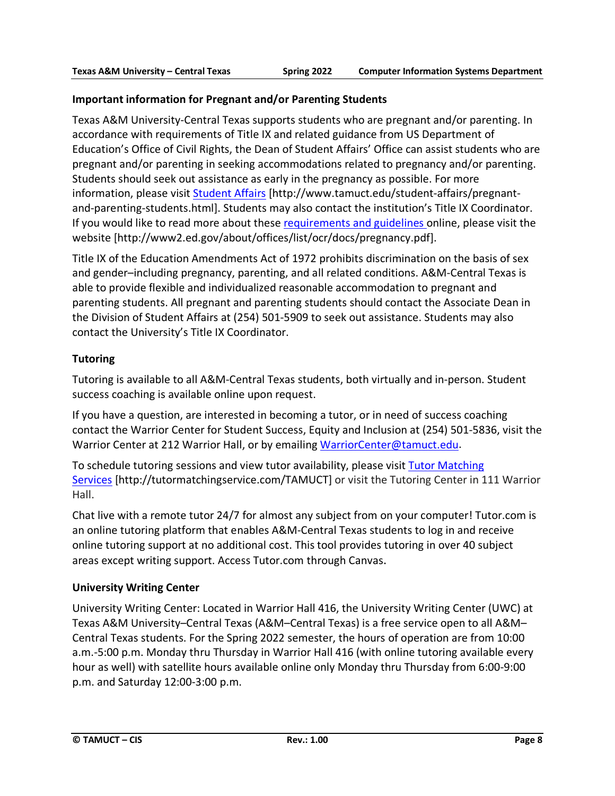# **Important information for Pregnant and/or Parenting Students**

Texas A&M University-Central Texas supports students who are pregnant and/or parenting. In accordance with requirements of Title IX and related guidance from US Department of Education's Office of Civil Rights, the Dean of Student Affairs' Office can assist students who are pregnant and/or parenting in seeking accommodations related to pregnancy and/or parenting. Students should seek out assistance as early in the pregnancy as possible. For more information, please visit [Student Affairs](https://www.tamuct.edu/student-affairs/pregnant-and-parenting-students.html) [http://www.tamuct.edu/student-affairs/pregnantand-parenting-students.html]. Students may also contact the institution's Title IX Coordinator. If you would like to read more about these [requirements and guidelines](http://www2.ed.gov/about/offices/list/ocr/docs/pregnancy.pdf) online, please visit the website [http://www2.ed.gov/about/offices/list/ocr/docs/pregnancy.pdf].

Title IX of the Education Amendments Act of 1972 prohibits discrimination on the basis of sex and gender–including pregnancy, parenting, and all related conditions. A&M-Central Texas is able to provide flexible and individualized reasonable accommodation to pregnant and parenting students. All pregnant and parenting students should contact the Associate Dean in the Division of Student Affairs at (254) 501-5909 to seek out assistance. Students may also contact the University's Title IX Coordinator.

# **Tutoring**

Tutoring is available to all A&M-Central Texas students, both virtually and in-person. Student success coaching is available online upon request.

If you have a question, are interested in becoming a tutor, or in need of success coaching contact the Warrior Center for Student Success, Equity and Inclusion at (254) 501-5836, visit the Warrior Center at 212 Warrior Hall, or by emailing [WarriorCenter@tamuct.edu.](mailto:WarriorCenter@tamuct.edu)

To schedule tutoring sessions and view tutor availability, please visit Tutor [Matching](https://tutormatchingservice.com/TAMUCT) [Services](https://tutormatchingservice.com/TAMUCT) [http://tutormatchingservice.com/TAMUCT] or visit the Tutoring Center in 111 Warrior Hall.

Chat live with a remote tutor 24/7 for almost any subject from on your computer! Tutor.com is an online tutoring platform that enables A&M-Central Texas students to log in and receive online tutoring support at no additional cost. This tool provides tutoring in over 40 subject areas except writing support. Access Tutor.com through Canvas.

# **University Writing Center**

University Writing Center: Located in Warrior Hall 416, the University Writing Center (UWC) at Texas A&M University–Central Texas (A&M–Central Texas) is a free service open to all A&M– Central Texas students. For the Spring 2022 semester, the hours of operation are from 10:00 a.m.-5:00 p.m. Monday thru Thursday in Warrior Hall 416 (with online tutoring available every hour as well) with satellite hours available online only Monday thru Thursday from 6:00-9:00 p.m. and Saturday 12:00-3:00 p.m.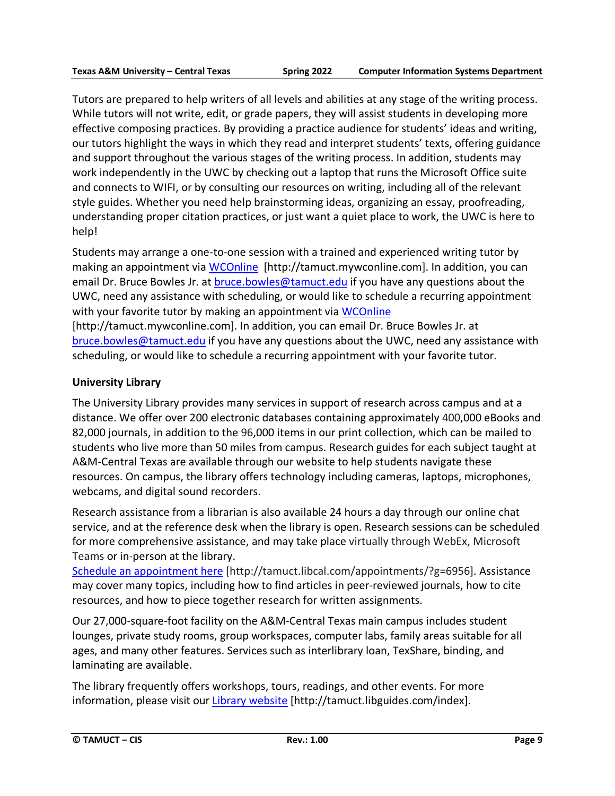Tutors are prepared to help writers of all levels and abilities at any stage of the writing process. While tutors will not write, edit, or grade papers, they will assist students in developing more effective composing practices. By providing a practice audience for students' ideas and writing, our tutors highlight the ways in which they read and interpret students' texts, offering guidance and support throughout the various stages of the writing process. In addition, students may work independently in the UWC by checking out a laptop that runs the Microsoft Office suite and connects to WIFI, or by consulting our resources on writing, including all of the relevant style guides. Whether you need help brainstorming ideas, organizing an essay, proofreading, understanding proper citation practices, or just want a quiet place to work, the UWC is here to help!

Students may arrange a one-to-one session with a trained and experienced writing tutor by making an appointment via [WCOnline](https://tamuct.mywconline.com/) [http://tamuct.mywconline.com]. In addition, you can email Dr. Bruce Bowles Jr. at [bruce.bowles@tamuct.edu](mailto:bruce.bowles@tamuct.edu) if you have any questions about the UWC, need any assistance with scheduling, or would like to schedule a recurring appointment with your favorite tutor by making an appointment via [WCOnline](https://tamuct.mywconline.com/) [http://tamuct.mywconline.com]. In addition, you can email Dr. Bruce Bowles Jr. at

[bruce.bowles@tamuct.edu](mailto:bruce.bowles@tamuct.edu) if you have any questions about the UWC, need any assistance with scheduling, or would like to schedule a recurring appointment with your favorite tutor.

# **University Library**

The University Library provides many services in support of research across campus and at a distance. We offer over 200 electronic databases containing approximately 400,000 eBooks and 82,000 journals, in addition to the 96,000 items in our print collection, which can be mailed to students who live more than 50 miles from campus. Research guides for each subject taught at A&M-Central Texas are available through our website to help students navigate these resources. On campus, the library offers technology including cameras, laptops, microphones, webcams, and digital sound recorders.

Research assistance from a librarian is also available 24 hours a day through our online chat service, and at the reference desk when the library is open. Research sessions can be scheduled for more comprehensive assistance, and may take place virtually through WebEx, Microsoft Teams or in-person at the library.

Schedule an [appointment](https://nam04.safelinks.protection.outlook.com/?url=https%3A%2F%2Ftamuct.libcal.com%2Fappointments%2F%3Fg%3D6956&data=04%7C01%7Clisa.bunkowski%40tamuct.edu%7Cde2c07d9f5804f09518008d9ab7ba6ff%7C9eed4e3000f744849ff193ad8005acec%7C0%7C0%7C637729369835011558%7CUnknown%7CTWFpbGZsb3d8eyJWIjoiMC4wLjAwMDAiLCJQIjoiV2luMzIiLCJBTiI6Ik1haWwiLCJXVCI6Mn0%3D%7C3000&sdata=KhtjgRSAw9aq%2FoBsB6wyu8b7PSuGN5EGPypzr3Ty2No%3D&reserved=0) here [http://tamuct.libcal.com/appointments/?g=6956]. Assistance may cover many topics, including how to find articles in peer-reviewed journals, how to cite resources, and how to piece together research for written assignments.

Our 27,000-square-foot facility on the A&M-Central Texas main campus includes student lounges, private study rooms, group workspaces, computer labs, family areas suitable for all ages, and many other features. Services such as interlibrary loan, TexShare, binding, and laminating are available.

The library frequently offers workshops, tours, readings, and other events. For more information, please visit our Library [website](https://nam04.safelinks.protection.outlook.com/?url=https%3A%2F%2Ftamuct.libguides.com%2Findex&data=04%7C01%7Clisa.bunkowski%40tamuct.edu%7C7d8489e8839a4915335f08d916f067f2%7C9eed4e3000f744849ff193ad8005acec%7C0%7C0%7C637566044056484222%7CUnknown%7CTWFpbGZsb3d8eyJWIjoiMC4wLjAwMDAiLCJQIjoiV2luMzIiLCJBTiI6Ik1haWwiLCJXVCI6Mn0%3D%7C1000&sdata=2R755V6rcIyedGrd4Os5rkgn1PvhHKU3kUV1vBKiHFo%3D&reserved=0) [http://tamuct.libguides.com/index].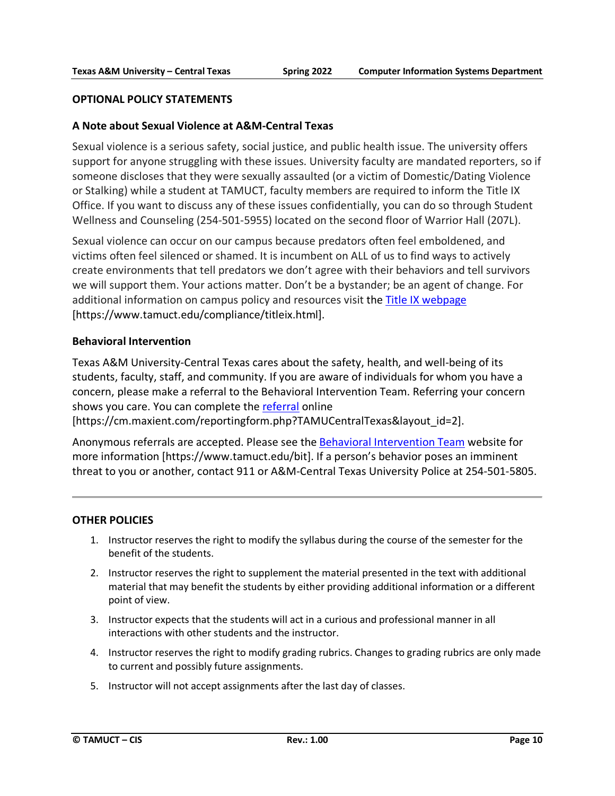### **OPTIONAL POLICY STATEMENTS**

### **A Note about Sexual Violence at A&M-Central Texas**

Sexual violence is a serious safety, social justice, and public health issue. The university offers support for anyone struggling with these issues. University faculty are mandated reporters, so if someone discloses that they were sexually assaulted (or a victim of Domestic/Dating Violence or Stalking) while a student at TAMUCT, faculty members are required to inform the Title IX Office. If you want to discuss any of these issues confidentially, you can do so through Student Wellness and Counseling (254-501-5955) located on the second floor of Warrior Hall (207L).

Sexual violence can occur on our campus because predators often feel emboldened, and victims often feel silenced or shamed. It is incumbent on ALL of us to find ways to actively create environments that tell predators we don't agree with their behaviors and tell survivors we will support them. Your actions matter. Don't be a bystander; be an agent of change. For additional information on campus policy and resources visit the [Title IX webpage](https://www.tamuct.edu/compliance/titleix.html) [\[https://www.tamuct.edu/compliance/titleix.html\]](https://www.tamuct.edu/compliance/titleix.html).

### **Behavioral Intervention**

Texas A&M University-Central Texas cares about the safety, health, and well-being of its students, faculty, staff, and community. If you are aware of individuals for whom you have a concern, please make a referral to the Behavioral Intervention Team. Referring your concern shows you care. You can complete the [referral](https://cm.maxient.com/reportingform.php?TAMUCentralTexas&layout_id=2) online

[https://cm.maxient.com/reportingform.php?TAMUCentralTexas&layout\_id=2].

Anonymous referrals are accepted. Please see the [Behavioral Intervention Team](https://www.tamuct.edu/bit) website for more information [https://www.tamuct.edu/bit]. If a person's behavior poses an imminent threat to you or another, contact 911 or A&M-Central Texas University Police at 254-501-5805.

### **OTHER POLICIES**

- 1. Instructor reserves the right to modify the syllabus during the course of the semester for the benefit of the students.
- 2. Instructor reserves the right to supplement the material presented in the text with additional material that may benefit the students by either providing additional information or a different point of view.
- 3. Instructor expects that the students will act in a curious and professional manner in all interactions with other students and the instructor.
- 4. Instructor reserves the right to modify grading rubrics. Changes to grading rubrics are only made to current and possibly future assignments.
- 5. Instructor will not accept assignments after the last day of classes.